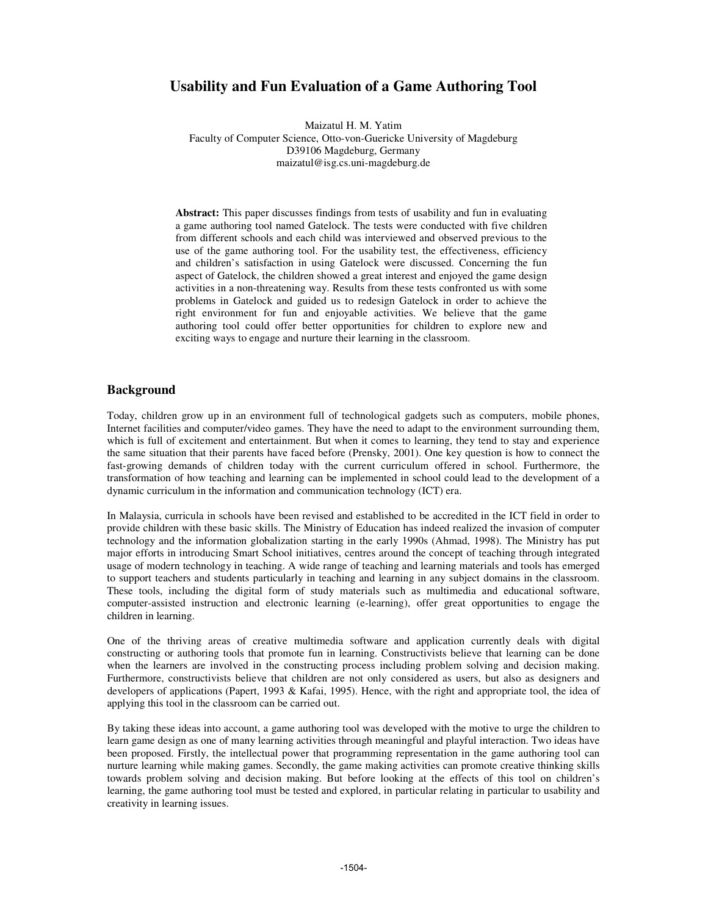# **Usability and Fun Evaluation of a Game Authoring Tool**

Maizatul H. M. Yatim Faculty of Computer Science, Otto-von-Guericke University of Magdeburg D39106 Magdeburg, Germany maizatul@isg.cs.uni-magdeburg.de

**Abstract:** This paper discusses findings from tests of usability and fun in evaluating a game authoring tool named Gatelock. The tests were conducted with five children from different schools and each child was interviewed and observed previous to the use of the game authoring tool. For the usability test, the effectiveness, efficiency and children's satisfaction in using Gatelock were discussed. Concerning the fun aspect of Gatelock, the children showed a great interest and enjoyed the game design activities in a non-threatening way. Results from these tests confronted us with some problems in Gatelock and guided us to redesign Gatelock in order to achieve the right environment for fun and enjoyable activities. We believe that the game authoring tool could offer better opportunities for children to explore new and exciting ways to engage and nurture their learning in the classroom.

# **Background**

Today, children grow up in an environment full of technological gadgets such as computers, mobile phones, Internet facilities and computer/video games. They have the need to adapt to the environment surrounding them, which is full of excitement and entertainment. But when it comes to learning, they tend to stay and experience the same situation that their parents have faced before (Prensky, 2001). One key question is how to connect the fast-growing demands of children today with the current curriculum offered in school. Furthermore, the transformation of how teaching and learning can be implemented in school could lead to the development of a dynamic curriculum in the information and communication technology (ICT) era.

In Malaysia, curricula in schools have been revised and established to be accredited in the ICT field in order to provide children with these basic skills. The Ministry of Education has indeed realized the invasion of computer technology and the information globalization starting in the early 1990s (Ahmad, 1998). The Ministry has put major efforts in introducing Smart School initiatives, centres around the concept of teaching through integrated usage of modern technology in teaching. A wide range of teaching and learning materials and tools has emerged to support teachers and students particularly in teaching and learning in any subject domains in the classroom. These tools, including the digital form of study materials such as multimedia and educational software, computer-assisted instruction and electronic learning (e-learning), offer great opportunities to engage the children in learning.

One of the thriving areas of creative multimedia software and application currently deals with digital constructing or authoring tools that promote fun in learning. Constructivists believe that learning can be done when the learners are involved in the constructing process including problem solving and decision making. Furthermore, constructivists believe that children are not only considered as users, but also as designers and developers of applications (Papert, 1993 & Kafai, 1995). Hence, with the right and appropriate tool, the idea of applying this tool in the classroom can be carried out.

By taking these ideas into account, a game authoring tool was developed with the motive to urge the children to learn game design as one of many learning activities through meaningful and playful interaction. Two ideas have been proposed. Firstly, the intellectual power that programming representation in the game authoring tool can nurture learning while making games. Secondly, the game making activities can promote creative thinking skills towards problem solving and decision making. But before looking at the effects of this tool on children's learning, the game authoring tool must be tested and explored, in particular relating in particular to usability and creativity in learning issues.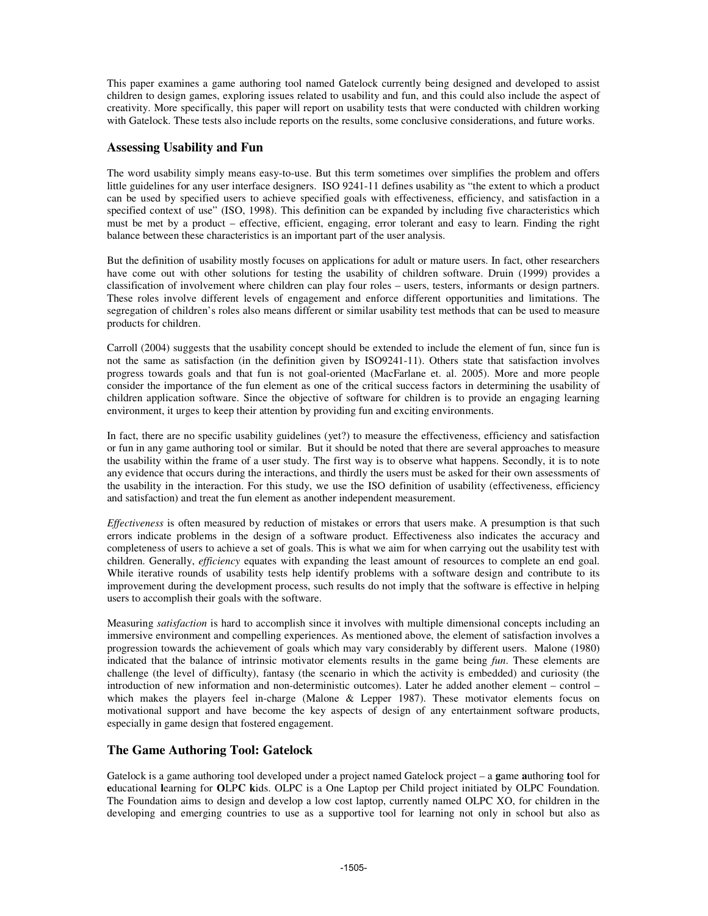This paper examines a game authoring tool named Gatelock currently being designed and developed to assist children to design games, exploring issues related to usability and fun, and this could also include the aspect of creativity. More specifically, this paper will report on usability tests that were conducted with children working with Gatelock. These tests also include reports on the results, some conclusive considerations, and future works.

# **Assessing Usability and Fun**

The word usability simply means easy-to-use. But this term sometimes over simplifies the problem and offers little guidelines for any user interface designers. ISO 9241-11 defines usability as "the extent to which a product can be used by specified users to achieve specified goals with effectiveness, efficiency, and satisfaction in a specified context of use" (ISO, 1998). This definition can be expanded by including five characteristics which must be met by a product – effective, efficient, engaging, error tolerant and easy to learn. Finding the right balance between these characteristics is an important part of the user analysis.

But the definition of usability mostly focuses on applications for adult or mature users. In fact, other researchers have come out with other solutions for testing the usability of children software. Druin (1999) provides a classification of involvement where children can play four roles – users, testers, informants or design partners. These roles involve different levels of engagement and enforce different opportunities and limitations. The segregation of children's roles also means different or similar usability test methods that can be used to measure products for children.

Carroll (2004) suggests that the usability concept should be extended to include the element of fun, since fun is not the same as satisfaction (in the definition given by ISO9241-11). Others state that satisfaction involves progress towards goals and that fun is not goal-oriented (MacFarlane et. al. 2005). More and more people consider the importance of the fun element as one of the critical success factors in determining the usability of children application software. Since the objective of software for children is to provide an engaging learning environment, it urges to keep their attention by providing fun and exciting environments.

In fact, there are no specific usability guidelines (yet?) to measure the effectiveness, efficiency and satisfaction or fun in any game authoring tool or similar. But it should be noted that there are several approaches to measure the usability within the frame of a user study. The first way is to observe what happens. Secondly, it is to note any evidence that occurs during the interactions, and thirdly the users must be asked for their own assessments of the usability in the interaction. For this study, we use the ISO definition of usability (effectiveness, efficiency and satisfaction) and treat the fun element as another independent measurement.

*Effectiveness* is often measured by reduction of mistakes or errors that users make. A presumption is that such errors indicate problems in the design of a software product. Effectiveness also indicates the accuracy and completeness of users to achieve a set of goals. This is what we aim for when carrying out the usability test with children. Generally, *efficiency* equates with expanding the least amount of resources to complete an end goal. While iterative rounds of usability tests help identify problems with a software design and contribute to its improvement during the development process, such results do not imply that the software is effective in helping users to accomplish their goals with the software.

Measuring *satisfaction* is hard to accomplish since it involves with multiple dimensional concepts including an immersive environment and compelling experiences. As mentioned above, the element of satisfaction involves a progression towards the achievement of goals which may vary considerably by different users. Malone (1980) indicated that the balance of intrinsic motivator elements results in the game being *fun*. These elements are challenge (the level of difficulty), fantasy (the scenario in which the activity is embedded) and curiosity (the introduction of new information and non-deterministic outcomes). Later he added another element – control – which makes the players feel in-charge (Malone & Lepper 1987). These motivator elements focus on motivational support and have become the key aspects of design of any entertainment software products, especially in game design that fostered engagement.

## **The Game Authoring Tool: Gatelock**

Gatelock is a game authoring tool developed under a project named Gatelock project – a **g**ame **a**uthoring **t**ool for **e**ducational **l**earning for **O**LP**C k**ids. OLPC is a One Laptop per Child project initiated by OLPC Foundation. The Foundation aims to design and develop a low cost laptop, currently named OLPC XO, for children in the developing and emerging countries to use as a supportive tool for learning not only in school but also as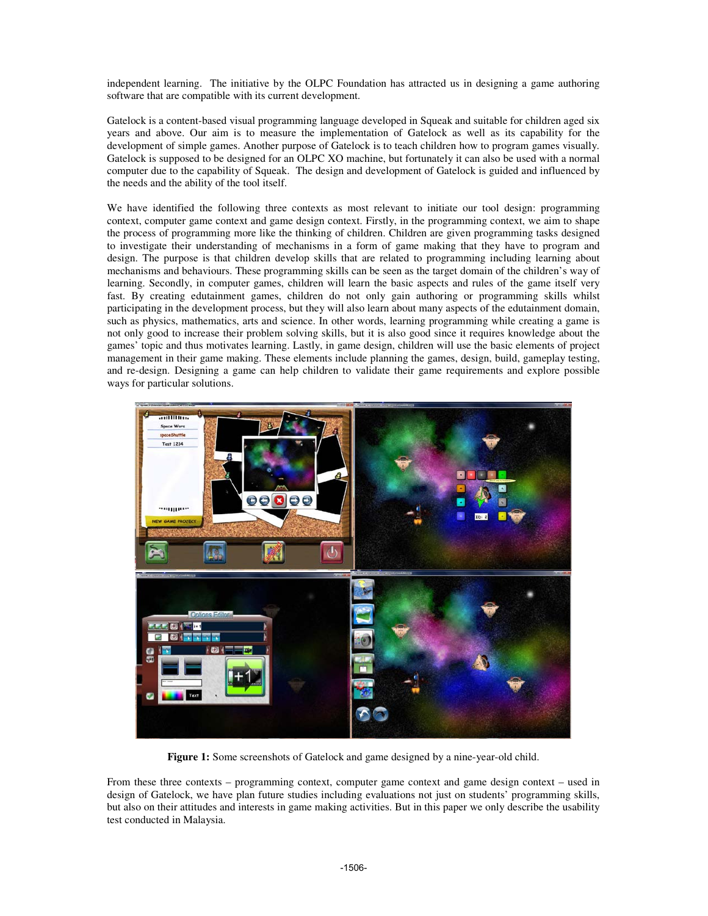independent learning. The initiative by the OLPC Foundation has attracted us in designing a game authoring software that are compatible with its current development.

Gatelock is a content-based visual programming language developed in Squeak and suitable for children aged six years and above. Our aim is to measure the implementation of Gatelock as well as its capability for the development of simple games. Another purpose of Gatelock is to teach children how to program games visually. Gatelock is supposed to be designed for an OLPC XO machine, but fortunately it can also be used with a normal computer due to the capability of Squeak. The design and development of Gatelock is guided and influenced by the needs and the ability of the tool itself.

We have identified the following three contexts as most relevant to initiate our tool design: programming context, computer game context and game design context. Firstly, in the programming context, we aim to shape the process of programming more like the thinking of children. Children are given programming tasks designed to investigate their understanding of mechanisms in a form of game making that they have to program and design. The purpose is that children develop skills that are related to programming including learning about mechanisms and behaviours. These programming skills can be seen as the target domain of the children's way of learning. Secondly, in computer games, children will learn the basic aspects and rules of the game itself very fast. By creating edutainment games, children do not only gain authoring or programming skills whilst participating in the development process, but they will also learn about many aspects of the edutainment domain, such as physics, mathematics, arts and science. In other words, learning programming while creating a game is not only good to increase their problem solving skills, but it is also good since it requires knowledge about the games' topic and thus motivates learning. Lastly, in game design, children will use the basic elements of project management in their game making. These elements include planning the games, design, build, gameplay testing, and re-design. Designing a game can help children to validate their game requirements and explore possible ways for particular solutions.



**Figure 1:** Some screenshots of Gatelock and game designed by a nine-year-old child.

From these three contexts – programming context, computer game context and game design context – used in design of Gatelock, we have plan future studies including evaluations not just on students' programming skills, but also on their attitudes and interests in game making activities. But in this paper we only describe the usability test conducted in Malaysia.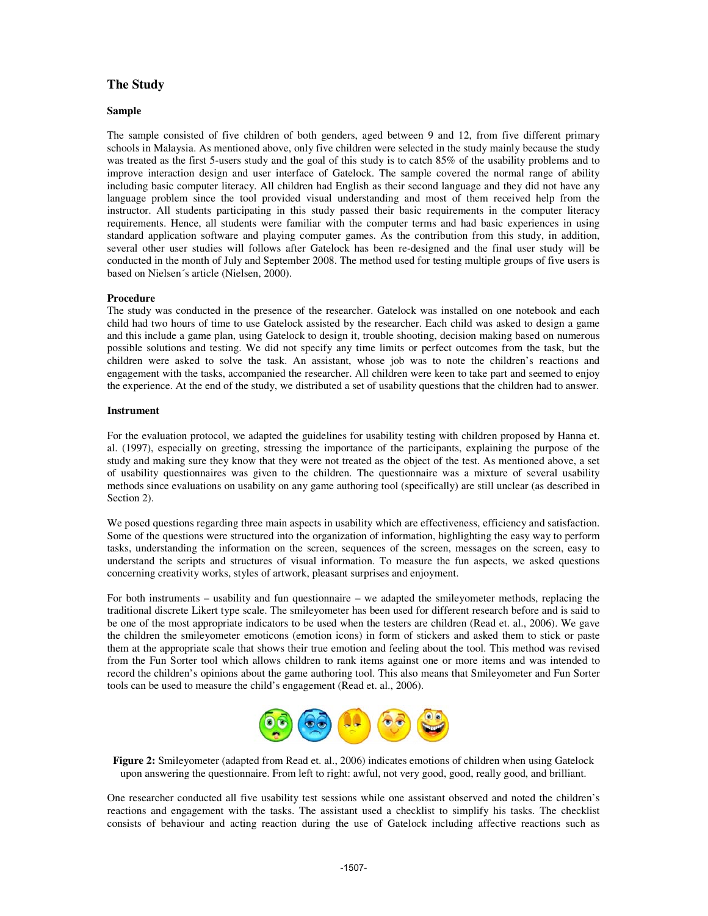## **The Study**

#### **Sample**

The sample consisted of five children of both genders, aged between 9 and 12, from five different primary schools in Malaysia. As mentioned above, only five children were selected in the study mainly because the study was treated as the first 5-users study and the goal of this study is to catch 85% of the usability problems and to improve interaction design and user interface of Gatelock. The sample covered the normal range of ability including basic computer literacy. All children had English as their second language and they did not have any language problem since the tool provided visual understanding and most of them received help from the instructor. All students participating in this study passed their basic requirements in the computer literacy requirements. Hence, all students were familiar with the computer terms and had basic experiences in using standard application software and playing computer games. As the contribution from this study, in addition, several other user studies will follows after Gatelock has been re-designed and the final user study will be conducted in the month of July and September 2008. The method used for testing multiple groups of five users is based on Nielsen´s article (Nielsen, 2000).

#### **Procedure**

The study was conducted in the presence of the researcher. Gatelock was installed on one notebook and each child had two hours of time to use Gatelock assisted by the researcher. Each child was asked to design a game and this include a game plan, using Gatelock to design it, trouble shooting, decision making based on numerous possible solutions and testing. We did not specify any time limits or perfect outcomes from the task, but the children were asked to solve the task. An assistant, whose job was to note the children's reactions and engagement with the tasks, accompanied the researcher. All children were keen to take part and seemed to enjoy the experience. At the end of the study, we distributed a set of usability questions that the children had to answer.

#### **Instrument**

For the evaluation protocol, we adapted the guidelines for usability testing with children proposed by Hanna et. al. (1997), especially on greeting, stressing the importance of the participants, explaining the purpose of the study and making sure they know that they were not treated as the object of the test. As mentioned above, a set of usability questionnaires was given to the children. The questionnaire was a mixture of several usability methods since evaluations on usability on any game authoring tool (specifically) are still unclear (as described in Section 2).

We posed questions regarding three main aspects in usability which are effectiveness, efficiency and satisfaction. Some of the questions were structured into the organization of information, highlighting the easy way to perform tasks, understanding the information on the screen, sequences of the screen, messages on the screen, easy to understand the scripts and structures of visual information. To measure the fun aspects, we asked questions concerning creativity works, styles of artwork, pleasant surprises and enjoyment.

For both instruments – usability and fun questionnaire – we adapted the smileyometer methods, replacing the traditional discrete Likert type scale. The smileyometer has been used for different research before and is said to be one of the most appropriate indicators to be used when the testers are children (Read et. al., 2006). We gave the children the smileyometer emoticons (emotion icons) in form of stickers and asked them to stick or paste them at the appropriate scale that shows their true emotion and feeling about the tool. This method was revised from the Fun Sorter tool which allows children to rank items against one or more items and was intended to record the children's opinions about the game authoring tool. This also means that Smileyometer and Fun Sorter tools can be used to measure the child's engagement (Read et. al., 2006).



**Figure 2:** Smileyometer (adapted from Read et. al., 2006) indicates emotions of children when using Gatelock upon answering the questionnaire. From left to right: awful, not very good, good, really good, and brilliant.

One researcher conducted all five usability test sessions while one assistant observed and noted the children's reactions and engagement with the tasks. The assistant used a checklist to simplify his tasks. The checklist consists of behaviour and acting reaction during the use of Gatelock including affective reactions such as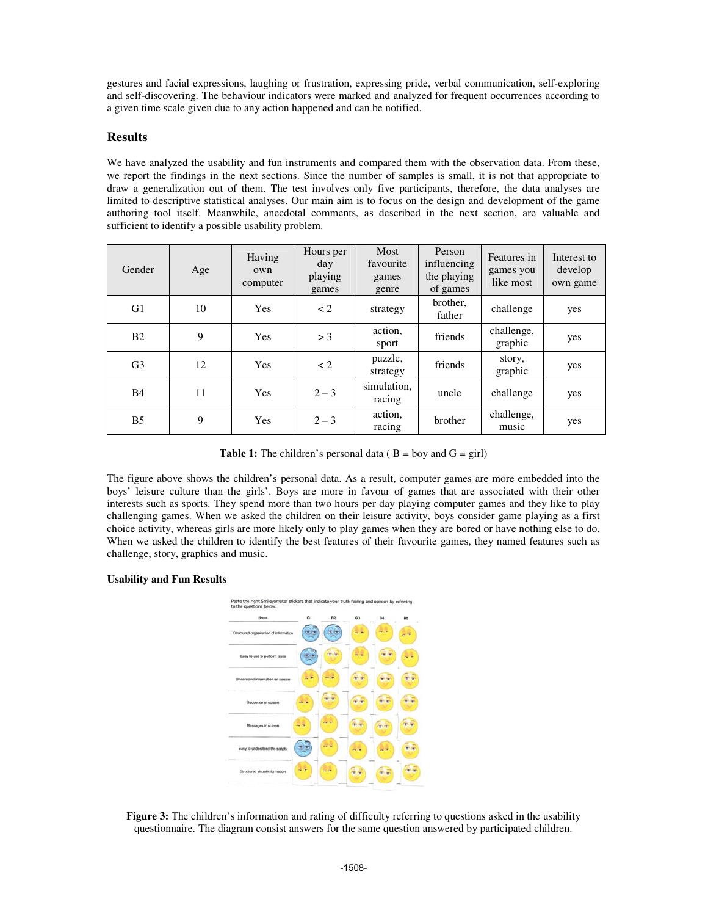gestures and facial expressions, laughing or frustration, expressing pride, verbal communication, self-exploring and self-discovering. The behaviour indicators were marked and analyzed for frequent occurrences according to a given time scale given due to any action happened and can be notified.

## **Results**

We have analyzed the usability and fun instruments and compared them with the observation data. From these, we report the findings in the next sections. Since the number of samples is small, it is not that appropriate to draw a generalization out of them. The test involves only five participants, therefore, the data analyses are limited to descriptive statistical analyses. Our main aim is to focus on the design and development of the game authoring tool itself. Meanwhile, anecdotal comments, as described in the next section, are valuable and sufficient to identify a possible usability problem.

| Gender         | Age | Having<br>own<br>computer | Hours per<br>day<br>playing<br>games | Most<br>favourite<br>games<br>genre | Person<br>influencing<br>the playing<br>of games | Features in<br>games you<br>like most | Interest to<br>develop<br>own game |
|----------------|-----|---------------------------|--------------------------------------|-------------------------------------|--------------------------------------------------|---------------------------------------|------------------------------------|
| G <sub>1</sub> | 10  | Yes                       | $\lt 2$                              | strategy                            | brother.<br>father                               | challenge                             | yes                                |
| B <sub>2</sub> | 9   | <b>Yes</b>                | > 3                                  | action.<br>sport                    | friends                                          | challenge,<br>graphic                 | yes                                |
| G <sub>3</sub> | 12  | Yes                       | $\lt 2$                              | puzzle,<br>strategy                 | friends                                          | story,<br>graphic                     | yes                                |
| <b>B4</b>      | 11  | Yes                       | $2 - 3$                              | simulation,<br>racing               | uncle                                            | challenge                             | yes                                |
| B <sub>5</sub> | 9   | Yes                       | $2 - 3$                              | action,<br>racing                   | brother                                          | challenge,<br>music                   | yes                                |

**Table 1:** The children's personal data ( $B = boy$  and  $G = girl$ )

The figure above shows the children's personal data. As a result, computer games are more embedded into the boys' leisure culture than the girls'. Boys are more in favour of games that are associated with their other interests such as sports. They spend more than two hours per day playing computer games and they like to play challenging games. When we asked the children on their leisure activity, boys consider game playing as a first choice activity, whereas girls are more likely only to play games when they are bored or have nothing else to do. When we asked the children to identify the best features of their favourite games, they named features such as challenge, story, graphics and music.

### **Usability and Fun Results**



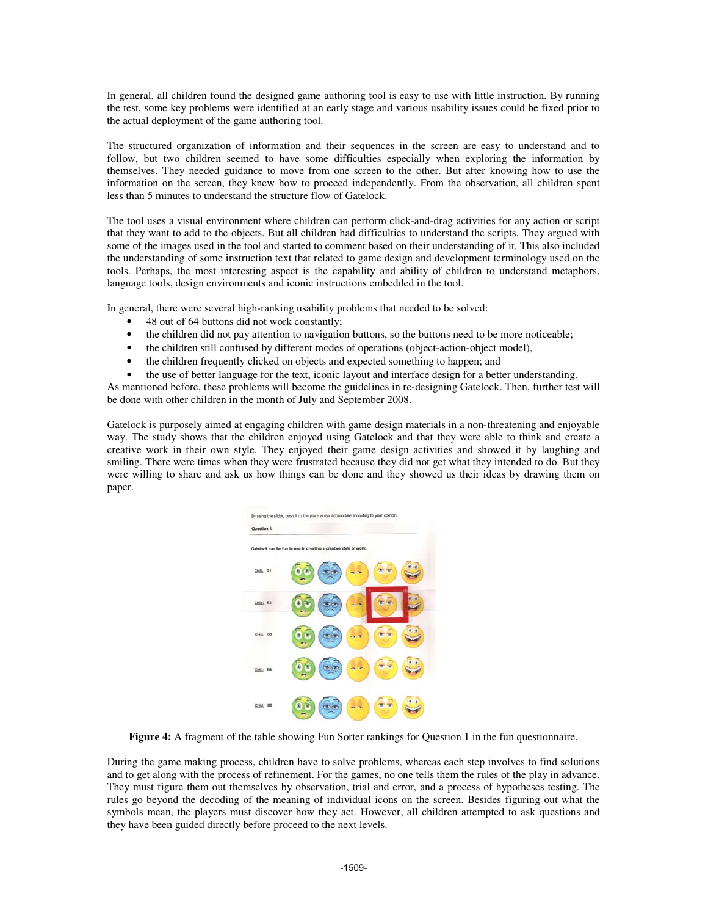In general, all children found the designed game authoring tool is easy to use with little instruction. By running the test, some key problems were identified at an early stage and various usability issues could be fixed prior to the actual deployment of the game authoring tool.

The structured organization of information and their sequences in the screen are easy to understand and to follow, but two children seemed to have some difficulties especially when exploring the information by themselves. They needed guidance to move from one screen to the other. But after knowing how to use the information on the screen, they knew how to proceed independently. From the observation, all children spent less than 5 minutes to understand the structure flow of Gatelock.

The tool uses a visual environment where children can perform click-and-drag activities for any action or script that they want to add to the objects. But all children had difficulties to understand the scripts. They argued with some of the images used in the tool and started to comment based on their understanding of it. This also included the understanding of some instruction text that related to game design and development terminology used on the tools. Perhaps, the most interesting aspect is the capability and ability of children to understand metaphors, language tools, design environments and iconic instructions embedded in the tool.

In general, there were several high-ranking usability problems that needed to be solved:

- 48 out of 64 buttons did not work constantly;
- the children did not pay attention to navigation buttons, so the buttons need to be more noticeable;
- the children still confused by different modes of operations (object-action-object model),
- the children frequently clicked on objects and expected something to happen; and
- the use of better language for the text, iconic layout and interface design for a better understanding.

As mentioned before, these problems will become the guidelines in re-designing Gatelock. Then, further test will be done with other children in the month of July and September 2008.

Gatelock is purposely aimed at engaging children with game design materials in a non-threatening and enjoyable way. The study shows that the children enjoyed using Gatelock and that they were able to think and create a creative work in their own style. They enjoyed their game design activities and showed it by laughing and smiling. There were times when they were frustrated because they did not get what they intended to do. But they were willing to share and ask us how things can be done and they showed us their ideas by drawing them on paper.



**Figure 4:** A fragment of the table showing Fun Sorter rankings for Question 1 in the fun questionnaire.

During the game making process, children have to solve problems, whereas each step involves to find solutions and to get along with the process of refinement. For the games, no one tells them the rules of the play in advance. They must figure them out themselves by observation, trial and error, and a process of hypotheses testing. The rules go beyond the decoding of the meaning of individual icons on the screen. Besides figuring out what the symbols mean, the players must discover how they act. However, all children attempted to ask questions and they have been guided directly before proceed to the next levels.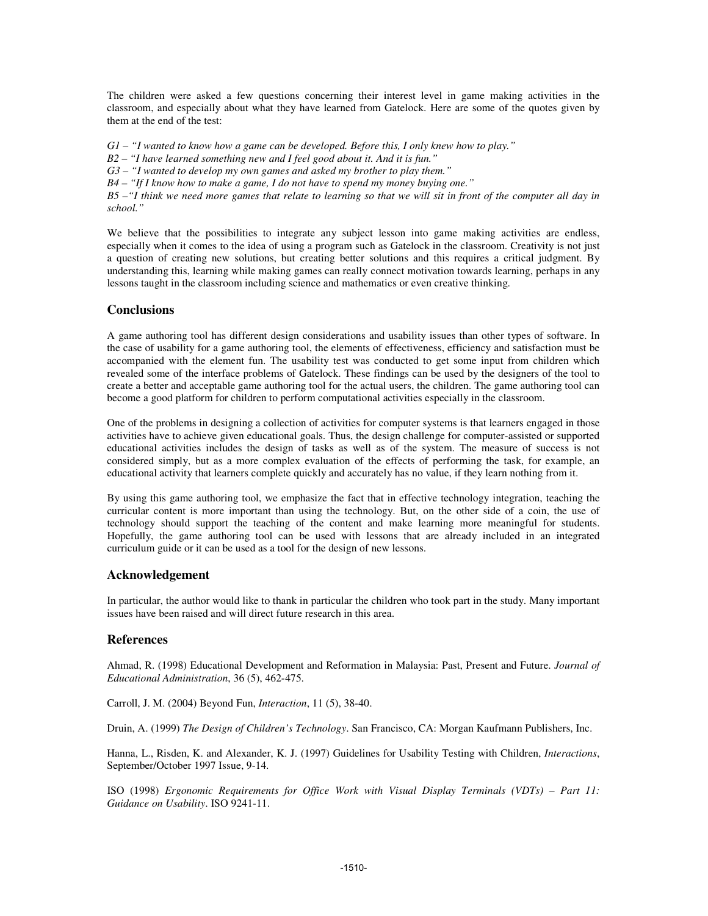The children were asked a few questions concerning their interest level in game making activities in the classroom, and especially about what they have learned from Gatelock. Here are some of the quotes given by them at the end of the test:

G1 - "I wanted to know how a game can be developed. Before this, I only knew how to play."

- *B2 – "I have learned something new and I feel good about it. And it is fun."*
- *G3 – "I wanted to develop my own games and asked my brother to play them."*
- *B4 – "If I know how to make a game, I do not have to spend my money buying one."*

 $B5 - H$  think we need more games that relate to learning so that we will sit in front of the computer all day in *school."*

We believe that the possibilities to integrate any subject lesson into game making activities are endless, especially when it comes to the idea of using a program such as Gatelock in the classroom. Creativity is not just a question of creating new solutions, but creating better solutions and this requires a critical judgment. By understanding this, learning while making games can really connect motivation towards learning, perhaps in any lessons taught in the classroom including science and mathematics or even creative thinking.

### **Conclusions**

A game authoring tool has different design considerations and usability issues than other types of software. In the case of usability for a game authoring tool, the elements of effectiveness, efficiency and satisfaction must be accompanied with the element fun. The usability test was conducted to get some input from children which revealed some of the interface problems of Gatelock. These findings can be used by the designers of the tool to create a better and acceptable game authoring tool for the actual users, the children. The game authoring tool can become a good platform for children to perform computational activities especially in the classroom.

One of the problems in designing a collection of activities for computer systems is that learners engaged in those activities have to achieve given educational goals. Thus, the design challenge for computer-assisted or supported educational activities includes the design of tasks as well as of the system. The measure of success is not considered simply, but as a more complex evaluation of the effects of performing the task, for example, an educational activity that learners complete quickly and accurately has no value, if they learn nothing from it.

By using this game authoring tool, we emphasize the fact that in effective technology integration, teaching the curricular content is more important than using the technology. But, on the other side of a coin, the use of technology should support the teaching of the content and make learning more meaningful for students. Hopefully, the game authoring tool can be used with lessons that are already included in an integrated curriculum guide or it can be used as a tool for the design of new lessons.

### **Acknowledgement**

In particular, the author would like to thank in particular the children who took part in the study. Many important issues have been raised and will direct future research in this area.

## **References**

Ahmad, R. (1998) Educational Development and Reformation in Malaysia: Past, Present and Future. *Journal of Educational Administration*, 36 (5), 462-475.

Carroll, J. M. (2004) Beyond Fun, *Interaction*, 11 (5), 38-40.

Druin, A. (1999) *The Design of Children's Technology*. San Francisco, CA: Morgan Kaufmann Publishers, Inc.

Hanna, L., Risden, K. and Alexander, K. J. (1997) Guidelines for Usability Testing with Children, *Interactions*, September/October 1997 Issue, 9-14.

ISO (1998) *Ergonomic Requirements for Office Work with Visual Display Terminals (VDTs) – Part 11: Guidance on Usability*. ISO 9241-11.